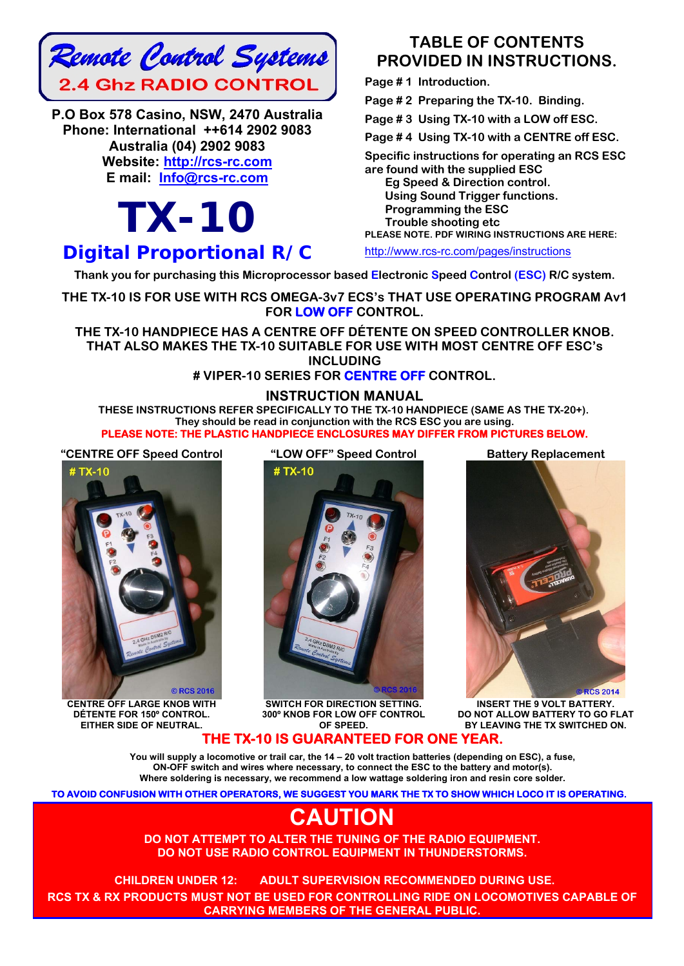

**P.O Box 578 Casino, NSW, 2470 Australia Phone: International ++614 2902 9083 Australia (04) 2902 9083 Website: http://rcs-rc.com E mail: Info@rcs-rc.com**

# *TX-10 Digital Proportional R/C*

### **TABLE OF CONTENTS PROVIDED IN INSTRUCTIONS.**

**Page # 1 Introduction.** 

**Page # 2 Preparing the TX-10. Binding.** 

**Page # 3 Using TX-10 with a LOW off ESC.** 

**Page # 4 Using TX-10 with a CENTRE off ESC.** 

**Specific instructions for operating an RCS ESC** 

**are found with the supplied ESC** 

 **Eg Speed & Direction control. Using Sound Trigger functions. Programming the ESC Trouble shooting etc PLEASE NOTE. PDF WIRING INSTRUCTIONS ARE HERE:** 

http://www.rcs-rc.com/pages/instructions

 **Thank you for purchasing this Microprocessor based Electronic Speed Control (ESC) R/C system.**

**THE TX-10 IS FOR USE WITH RCS OMEGA-3v7 ECS's THAT USE OPERATING PROGRAM Av1 FOR LOW OFF CONTROL.** 

**THE TX-10 HANDPIECE HAS A CENTRE OFF DÉTENTE ON SPEED CONTROLLER KNOB. THAT ALSO MAKES THE TX-10 SUITABLE FOR USE WITH MOST CENTRE OFF ESC's INCLUDING** 

#### **# VIPER-10 SERIES FOR CENTRE OFF CONTROL.**

#### **INSTRUCTION MANUAL**

**THESE INSTRUCTIONS REFER SPECIFICALLY TO THE TX-10 HANDPIECE (SAME AS THE TX-20+). They should be read in conjunction with the RCS ESC you are using. PLEASE NOTE: THE PLASTIC HANDPIECE ENCLOSURES MAY DIFFER FROM PICTURES BELOW.** 

**"CENTRE OFF Speed Control "LOW OFF" Speed Control Battery Replacement**



**CENTRE OFF LARGE KNOB WITH DÉTENTE FOR 150º CONTROL. EITHER SIDE OF NEUTRAL.**



**SWITCH FOR DIRECTION SETTING. 300º KNOB FOR LOW OFF CONTROL OF SPEED.** 



**INSERT THE 9 VOLT BATTERY. DO NOT ALLOW BATTERY TO GO FLAT BY LEAVING THE TX SWITCHED ON.**

#### **THE TX-10 IS GUARANTEED FOR ONE YE**

**You will supply a locomotive or trail car, the 14 – 20 volt traction batteries (depending on ESC), a fuse, ON-OFF switch and wires where necessary, to connect the ESC to the battery and motor(s). Where soldering is necessary, we recommend a low wattage soldering iron and resin core solder.** 

**TO AVOID CONFUSION WITH OTHER OPERATORS, WE SUGGEST YOU MARK THE TX TO SHOW WHICH LOCO IT IS OPERATING.** 

## **CAUTION**

**DO NOT ATTEMPT TO ALTER THE TUNING OF THE RADIO EQUIPMENT. DO NOT USE RADIO CONTROL EQUIPMENT IN THUNDERSTORMS.** 

**CHILDREN UNDER 12: ADULT SUPERVISION RECOMMENDED DURING USE.**!! **RCS TX & RX PRODUCTS MUST NOT BE USED FOR CONTROLLING RIDE ON LOCOMOTIVES CAPABLE OF CARRYING MEMBERS OF THE GENERAL PUBLIC.**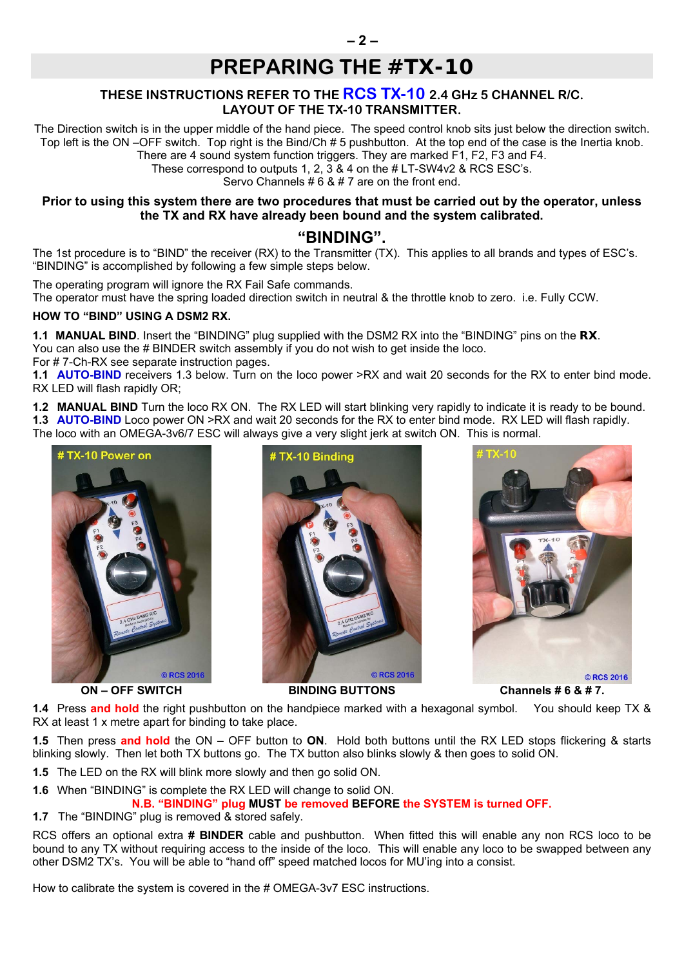## **PREPARING THE** *#TX-10*

#### **THESE INSTRUCTIONS REFER TO THE RCS TX-10 2.4 GHz 5 CHANNEL R/C. LAYOUT OF THE TX-10 TRANSMITTER.**

The Direction switch is in the upper middle of the hand piece. The speed control knob sits just below the direction switch. Top left is the ON –OFF switch. Top right is the Bind/Ch # 5 pushbutton. At the top end of the case is the Inertia knob. There are 4 sound system function triggers. They are marked F1, F2, F3 and F4.

These correspond to outputs 1, 2, 3 & 4 on the # LT-SW4v2 & RCS ESC's.

Servo Channels # 6 & # 7 are on the front end.

#### **Prior to using this system there are two procedures that must be carried out by the operator, unless the TX and RX have already been bound and the system calibrated.**

#### **"BINDING".**

The 1st procedure is to "BIND" the receiver (RX) to the Transmitter (TX). This applies to all brands and types of ESC's. "BINDING" is accomplished by following a few simple steps below.

The operating program will ignore the RX Fail Safe commands. The operator must have the spring loaded direction switch in neutral & the throttle knob to zero. i.e. Fully CCW.

#### **HOW TO "BIND" USING A DSM2 RX.**

**1.1 MANUAL BIND**. Insert the "BINDING" plug supplied with the DSM2 RX into the "BINDING" pins on the *RX*. You can also use the # BINDER switch assembly if you do not wish to get inside the loco. For # 7-Ch-RX see separate instruction pages.

**1.1 AUTO-BIND** receivers 1.3 below. Turn on the loco power >RX and wait 20 seconds for the RX to enter bind mode. RX LED will flash rapidly OR;

**1.2 MANUAL BIND** Turn the loco RX ON. The RX LED will start blinking very rapidly to indicate it is ready to be bound. **1.3 AUTO-BIND** Loco power ON >RX and wait 20 seconds for the RX to enter bind mode. RX LED will flash rapidly. The loco with an OMEGA-3v6/7 ESC will always give a very slight jerk at switch ON. This is normal.







**ON – OFF SWITCH BINDING BUTTONS Channels # 6 & # 7.**

**1.4** Press **and hold** the right pushbutton on the handpiece marked with a hexagonal symbol. You should keep TX & RX at least 1 x metre apart for binding to take place.

**1.5** Then press **and hold** the ON – OFF button to **ON**. Hold both buttons until the RX LED stops flickering & starts blinking slowly. Then let both TX buttons go. The TX button also blinks slowly & then goes to solid ON.

**1.5** The LED on the RX will blink more slowly and then go solid ON.

**1.6** When "BINDING" is complete the RX LED will change to solid ON.

**N.B. "BINDING" plug MUST be removed BEFORE the SYSTEM is turned OFF.** 

**1.7** The "BINDING" plug is removed & stored safely.

RCS offers an optional extra **# BINDER** cable and pushbutton. When fitted this will enable any non RCS loco to be bound to any TX without requiring access to the inside of the loco. This will enable any loco to be swapped between any other DSM2 TX's. You will be able to "hand off" speed matched locos for MU'ing into a consist.

How to calibrate the system is covered in the # OMEGA-3v7 ESC instructions.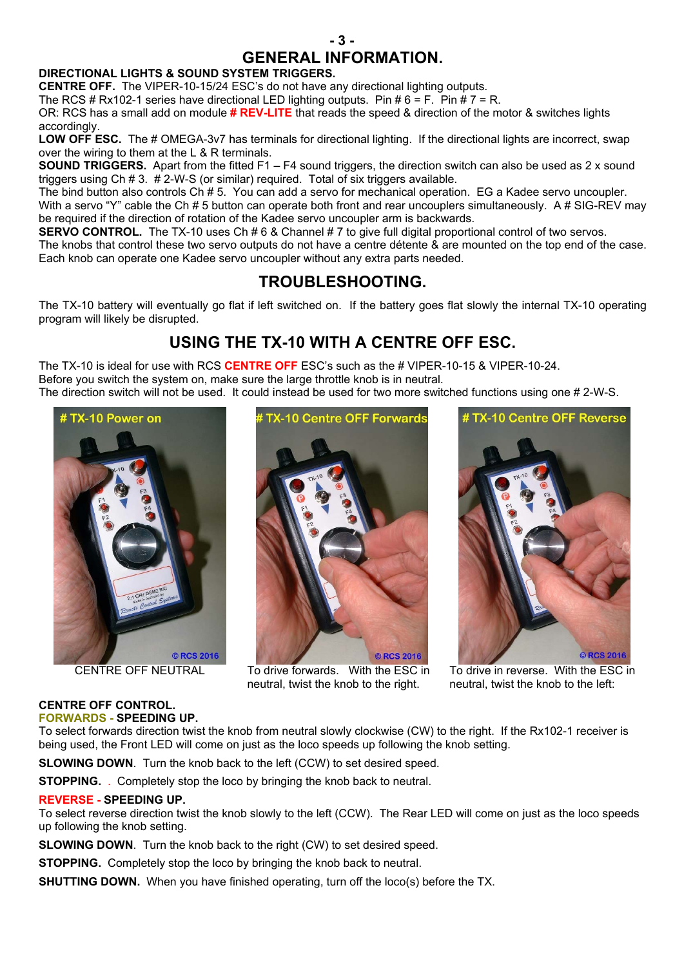

### **GENERAL INFORMATION.**

#### **DIRECTIONAL LIGHTS & SOUND SYSTEM TRIGGERS.**

**CENTRE OFF.** The VIPER-10-15/24 ESC's do not have any directional lighting outputs.

The RCS # Rx102-1 series have directional LED lighting outputs. Pin #  $6 = F$ . Pin #  $7 = R$ .

OR: RCS has a small add on module **# REV-LITE** that reads the speed & direction of the motor & switches lights accordingly.

LOW OFF ESC. The # OMEGA-3v7 has terminals for directional lighting. If the directional lights are incorrect, swap over the wiring to them at the L & R terminals.

**SOUND TRIGGERS.** Apart from the fitted F1 – F4 sound triggers, the direction switch can also be used as 2 x sound triggers using Ch # 3. # 2-W-S (or similar) required. Total of six triggers available.

The bind button also controls Ch # 5. You can add a servo for mechanical operation. EG a Kadee servo uncoupler.

With a servo "Y" cable the Ch # 5 button can operate both front and rear uncouplers simultaneously. A # SIG-REV may be required if the direction of rotation of the Kadee servo uncoupler arm is backwards.

**SERVO CONTROL.** The TX-10 uses Ch # 6 & Channel # 7 to give full digital proportional control of two servos.

The knobs that control these two servo outputs do not have a centre détente & are mounted on the top end of the case. Each knob can operate one Kadee servo uncoupler without any extra parts needed.

## **TROUBLESHOOTING.**

The TX-10 battery will eventually go flat if left switched on. If the battery goes flat slowly the internal TX-10 operating program will likely be disrupted.

## **USING THE TX-10 WITH A CENTRE OFF ESC.**

The TX-10 is ideal for use with RCS **CENTRE OFF** ESC's such as the # VIPER-10-15 & VIPER-10-24. Before you switch the system on, make sure the large throttle knob is in neutral.

The direction switch will not be used. It could instead be used for two more switched functions using one # 2-W-S.





CENTRE OFF NEUTRAL To drive forwards. With the ESC in neutral, twist the knob to the right.



To drive in reverse. With the ESC in neutral, twist the knob to the left:

#### **CENTRE OFF CONTROL. FORWARDS - SPEEDING UP.**

To select forwards direction twist the knob from neutral slowly clockwise (CW) to the right. If the Rx102-1 receiver is being used, the Front LED will come on just as the loco speeds up following the knob setting.

**SLOWING DOWN**. Turn the knob back to the left (CCW) to set desired speed.

**STOPPING.** Completely stop the loco by bringing the knob back to neutral.

#### **REVERSE - SPEEDING UP.**

To select reverse direction twist the knob slowly to the left (CCW). The Rear LED will come on just as the loco speeds up following the knob setting.

**SLOWING DOWN**. Turn the knob back to the right (CW) to set desired speed.

**STOPPING.** Completely stop the loco by bringing the knob back to neutral.

**SHUTTING DOWN.** When you have finished operating, turn off the loco(s) before the TX.